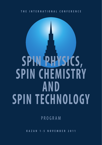# **SPIN PHYSICS, SPIN CHEMISTRY AND SPIN TECHNOLOGY**

P R O G R A M

**K A Z A N 1 - 5 N O V E M B E R 2 0 1 1**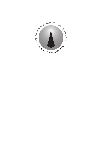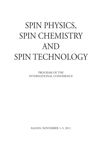# SPIN PHYSICS, SPIN CHEMISTRY AND SPIN TECHNOLOGY

PROGRAM OF THE INTERNATIONAL CONFERENCE

KAZAN, NOVEMBER 1–5, 2011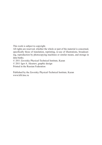This work is subject to copyright.

All rights are reserved, whether the whole or part of the material is concerned, specifically those of translation, reprinting, re-use of illustrations, broadcasting, reproduction by photocopying machines or similar means, and storage in data banks.

© 2011 Zavoisky Physical-Technical Institute, Kazan

© 2011 Igor A. Aksenov, graphic dezign

Printed in the Russian Federation

Published by the Zavoisky Physical-Technical Institute, Kazan www.kfti.knc.ru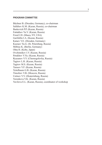#### **PROGRAM COMMITTEE**

Büchner B. (Dresden, Germany), co-chairman Salikhov K.M. (Kazan, Russia), co-chairman Baskevich P.P. (Kazan, Russia) Fattakhov Ya.V. (Kazan, Russia) Freed J.H. (Ithaca, NY, USA) Garifullin I.A. (Kazan, Russia) Kataev V.E. (Dresden, Germany) Kusraev Yu.G. (St. Petersburg, Russia) Möbius K. (Berlin, Germany) Ohta H. (Kobe, Japan) Ovchinnikov I.V. (Kazan, Russia) Petukhov V.Yu. (Kazan, Russia) Ryazanov V.V. (Chernogolovka, Russia) Tagirov L.R. (Kazan, Russia) Tagirov M.S. (Kazan, Russia) Tarasov V.F. (Kazan, Russia) Teitelbaum G.B. (Kazan, Russia) Timofeev V.B. (Moscow, Russia) Ustinov V.V. (Ekaterinburg, Russia) Voronkova V.K. (Kazan, Russia) Vavilova E.L. (Kazan, Russia), coordinator of workshop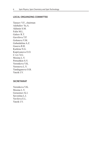#### **LOCAL ORGANIZING COMMITTEE**

Tarasov V.F., chairman Adzhaliev Yu.A. Akhmin S.M. Falin M.L. Galeev R.T. Gavrilova T.P. Goleneva V.M. Gubaidulina A.Z. Guseva R.R. Kurkina N.G. Kupriyanova O.O. L'vov S.G. Mosina L.V. Petrushkin S.V. Voronkova V.K. Voronova L.V. Yanduganova O.B. Yatzik I.V.

#### **SECRETARIAT**

Voronkova V.K. Mosina L.V. Gerasimov K.I. Savostina L.I. Vavilova E.L. Yatzik I.V.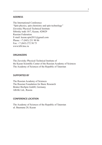#### **ADDRESS**

The International Conference "Spin physics, spin chemistry and spin technology" Zavoisky Physical-Technical Institute Sibirsky trakt 10/7, Kazan, 420029 Russian Federation E-mail: kazan.spin2011@gmail.com Phone: +7 (843) 231 90 86 Fax: +7 (843) 272 50 75 www.kfti.knc.ru

#### **ORGANIZERS**

The Zavoisky Physical-Technical Institute of the Kazan Scientific Center of the Russian Academy of Sciences The Academy of Sciences of the Republic of Tatarstan

#### **SUPPORTED BY**

The Russian Academy of Sciences The Russian Foundation for Basic Research Bruker BioSpin GmbH, Germany ABAK Ltd., Russia

#### **CONFERENCE LOCATION**

The Academy of Sciences of the Republic of Tatarstan ul. Baumana 20, Kazan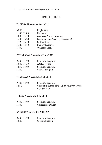# **TIME SCHEDULE**

#### **TUESDAY, November 1-st, 2011**

| 09:00           | Registration                         |
|-----------------|--------------------------------------|
| $11:00-13:00$   | Excursion                            |
| $14:00 - 15:40$ | Zavoisky Award Ceremony              |
| $15:40 - 16:20$ | Lecture of the Zavoisky Awardee 2011 |
| $16:20 - 16:40$ | Coffee Break                         |
| $16:40 - 18:40$ | <b>Plenary Lectures</b>              |
| 19:00           | <b>Welcome Party</b>                 |

# **WEDNESDAY, November 2-nd, 2011**

| $09:00 - 13:00$ | Scientific Program |
|-----------------|--------------------|
| $13:00 - 14:30$ | <b>AMR</b> Meeting |
| $14:30 - 18:00$ | Scientific Program |
| 19:00           | Culture Program    |

# **THURSDAY, November 3-rd, 2011**

| $09:00 - 18:00$ | Scientific Program                           |
|-----------------|----------------------------------------------|
| 18:30           | Concert in Honor of the 75-th Anniversary of |
|                 | Key Salikhov                                 |

# **FRIDAY, November 4-th, 2011**

09:00–18:00 Scientific Program 19:00 Conference Dinner

# **SATURDAY, November 5-th, 2011**

| $09:00 - 13:00$ | Scientific Program |
|-----------------|--------------------|
| 13:00           | Closing Session    |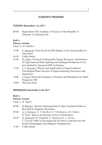# **SCIENTIFIC PROGRAM**

#### **TUESDAY, November 1-st, 2011**

09:00 Registration (The Academy of Sciences of the Republic of Tatarstan, ul. Baumana 20)

#### **Hall A**

#### **Plenary Session**

Chair: *K. M. Salikhov*

- 15:40 *S. Yamauchi*: Time-Resolved EPR Studies in the Electronically Excited States
- 16:20 Coffee Break
- 16:40 *W. Lubitz*: In Search of Renewable Energy Resources: Mechanisms of Light-Induced Water Splitting and Hydrogen Production in Nature Studied by Advanced EPR Techniques
- 17:20 *V. V. Ryazanov*: Physics and Applications of Superconductor-Ferromagnet Phase Inverters in Superconducting Electronics and Spintronics
- 18:00 *J. Freed*: Molecular Dynamics in Proteins and Membranes by Multi-Frequency ESR
- 19:00 Welcome Party

#### **WEDNESDAY, November 2-nd, 2011**

#### **Hall A**

# **Plenary Session**

Chair: *L. R. Tagirov*

- 09:00 *B. Büchner*: Intrinsic Inhomogenities in Spin Correlated Solids as Revealed by Magnetic Resonance
- 09:40 *A. V. Vedyayev, N. V. Strelkov, N. V. Ryzhanova, M. Chshiev, B. Dieny*: Spin as an Itinerant Carrier of Information
- 10:20 *D. Gatteschi, M. Fittipaldi, C. Sangregorio, L. Sorace, L. Castelli*: EMR To Investigate the No Man's Land between Molecular Nanomagnets and Magnetic Nanoparticles
- 11:00 Coffee Break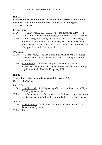#### **Symposium: Electron Spin-Based Methods for Electronic and Spatial Structure Determination in Physics, Chemistry and Biology (S1)** Chair: *M. S. Tagirov*

Invited Talks

- 11:30 *A. V. Yurkovskaya, O. B. Morozova*: Time-Resolved CIDNP as a Tool To Study Inter- and Intramolecular Electron Transfer Reactions
- 12:00 *A. J. Fielding, F. Brodhun, Ch. Koch, R. Pievo, V. Denysenkov, I. Feussner, M. Bennati*: Multifrequency Electron Paramagnetic Resonance Characterization of PpoA, a CYP450 Fusion Protein that Catalyses Fatty Acid Dioxygenation

Oral Talks

- 12:20 *A. G. Maryasov, M. K. Bowman*: Spin Dynamics and Bloch Equations for Paramagnetic Centers with Spin 1/2 Having Anisotropic *g*-Tensor
- 12:40 *V. F. Tarasov, D. Akhmetzyanov, A. Konovalov, E. Zhiteitcev, E. Zharikov*: Structure and Magnetic Properties of Chromium Impurity Ions as Studied by Multifrequency EPR

#### **Hall B**

#### **Symposium: Spins in Low-Dimensional Structures (S2)**

Chair: *A. A. Bukharaev*

Invited Talks

- 11:30 *S. A. Tarasenko*: Spin Dephasing of Conduction Electrons in High-Mobility Quantum Wells
- 12:00 *A. V. Sekretenko, A. V. Larionov, A. I. Il'in*: Electron Spin Dynamics in a GaAs Quantum Well with a Controllable Lateral Confiinement

Oral Talk

- 12:30 *A. M. Ziatdinov*: Conduction Electron Spin Resonance in Two-Dimensional Systems
- $13:00$  Lunch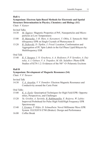#### **Symposium: Electron Spin-Based Methods for Electronic and Spatial Structure Determination in Physics, Chemistry and Biology (S1)** Chair: *V. Kataev*

# Invited Talks

- 14:30 *M. Tagirov:* Magnetic Properties of PrF<sub>3</sub> Nanoparticles and Microparticles at Low Temperatures
- 15:00 *H. Matsuoka, J.-R. Shen, A. Kawamori, Y. Ohba, S. Yamauchi*: Multifrequency EPR on Single Crystals of Photosystem II
- 15:20 *B. Dzikovski, D. Tipikin, J. Freed*: Location, Conformation and Aggregation of PC Spin Labels in the Gel Phase Lipid Bilayers by Multifrequency ESR

### Oral Talk

15:40 *R. V. Yusupov, I. N. Gracheva, A. A. Rodionov, P. P. Syrnikov, A. Dejneka, A. I. Gubaev, V. A. Trepakov, M. Kh. Salakhov*: Photo-EPR Studies of KTN-1.2: Evidences of the  $Nb<sup>4+</sup>-O-Polaronic Excitons$ 

# **Hall B**

# **Symposium: Development of Magnetic Resonance (S4)**

Chair: *V. F. Tarasov*

#### Invited Talk

14:30 *V. A. Atsarkin, V. V. Demidov*: Electron Magnetic Resonance and Conductivity around the Curie Point

# Oral Talks

- 15:00 *K. A. Earle*: Quasioptical Techniques for High Field EPR: Opportunities, Perspectives, and Challenges
- 15:20 *Yu. Grishin, A. Savitsky, R. Rakhmatullin, E. Reijerse, W. Lubitz*: Improved Probehead for Pulse High Field/High Frequency EPR Spectroscopy
- 15:40 *I. Gromov, P. Höfer, D. Schmalbein*: Novel Millimeter Wave EPR System ELEXSYS E780 (Bruker): Design and Performance
- 16:00 Coffee Break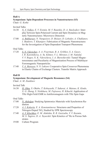#### **Symposium: Spin-Dependent Processes in Nanostructures (S3)** Chair: *G. Kothe*

Invited Talks

- 16:30 *N. V. Volkov, E. V. Eremin, M. V. Rautskiy, D. A. Smolyakov*: Interplay between Spin-Polarized Current and Spin Dynamics in Magnetic Nanostructures: Microwave Detection
- 17:00 *A. Bukharaev, N. Nurgazizov, D. Biziaev, D. Lebedev, A. Chuklanov, I. Shakirov, T. Khanipov*: Fabrication of Magnetic Nanostructures for the Investigation of Spin-Dependent Transport Phenomena

#### Oral Talks

- 17:20 *S. N. Vdovichev, A. A. Fraerman, B. A. Gribkov, S. A. Gusev, I. R. Karetnikova, A. Yu. Klimov, V. L. Mironov, I. M. Nefedof, V. V. Rogov, N. K. Vdovicheva, I. A. Shereshevskii*: Tunnel Magnetoresistance and Peculiarity of Magnetization Process of Multilayer Ferromagnetic Nanoparticles
- 17:40 *V. A. Morozov, N. N. Lukzen*: Cooperative Spin Crossover Phenomena in Elastic Chains of Exchange Clusters. Transfer Matrix Approach

#### **Hall B**

#### **Symposium: Development of Magnetic Resonance (S4)**

Chair: *A. M. Ziatdinov*

Invited Talk

16:30 *H. Ohta, S. Okubo, T. Kobayashi, T. Sakurai, A. Matsuo, K. Kindo, X. G. Zheng, S. Nishihara, M. Fujisawa, H. Kikuchi*: Application of THz High-Field EMR to Antiferromagnets with THz Spin Gaps

Oral Talks

- 17:00 *N. Akdoğan*: Studying Spintronics Materials with Synchrotron Radiation
- 17:20 *A. I. Kokorin, E. A. Konstantinova*: Structures and Properties of Nitrogen-Doped TiO<sub>2</sub> Studied by EPR Spectroscopy
- 17:40 *A. V. Klochkov, E. M. Alakshin, R. R. Gazizulin, V. V. Kuzmin, M. S. Tagirov, D. A. Tayurskii*: Spin Kinetics of 3 He in Porous Substrates
- 19:00 Culture Program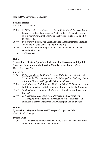# **THURSDAY, November 3-rd, 2011**

#### **Plenary Session**

Chair: *Yu. D. Tsvetkov*

- 09:00 *K. Möbius, A. A. Dubinskii, M. Flores, W. Lubitz, A. Savitsky*: Spin-Polarized Radical-Pair States in Photosynthesis: Characterization of Transient Conformational Changes by High-Field Dipolar EPR Spectroscopy
- 09:40 *D. Goldfarb*: Nanometer Scale Distance Measurements in Proteins and Nucleic Acids Using  $Gd^{3+}$  Spin Labeling
- 10:20 *S. A. Dzuba*: EPR Probing of Nanoscale Dynamics in Molecular Disordered Systems
- 11:00 Coffee Break

# **Hall A**

# **Symposium: Electron Spin-Based Methods for Electronic and Spatial Structure Determination in Physics, Chemistry and Biology (S1)**

Chair: *V. A. Atsarkin* 

Invited Talks

- 11:30 *E. Bagryanskaya, M. Fedin, S. Veber, V. Ovcharenko, H. Mazuoka, S. Yamauchi*: Thermal and Optical Switching of the Exchange Interactions in Nitroxide-Copper(II)-Nitroxide Clusters
- 12:00 *M. K. Bowman, P. R. Vennam, M. Krzyaniak, A. G. Maryasov*: Dipolar Interactions for the Determination of Macromolecular Structure
- 12:20 *M. Brustolon, A. Collauto, A. Barbon*: Nitronyl Nitroxides as Spin Probes?
- 12:40 *T. V. Leshina, I. M. Magin, N. E. Polyakov, E. A. Khramtsova, A. I. Kruppa*: Spin Chemistry Investigation of Peculiarities of Photoinduced Electron Transfer in Donor-Acceptor Linked System

#### **Hall B**

#### **Symposium: Magnetic States and Transport Properties (S5)**

Chair: *Yu. G. Kusrayev*

Invited Talks

11:30 *A. A. Fraerman*: Noncollinear Magnetic States and Transport Properties of Ferromagnetic Nanostructures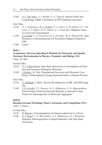12:00 *A. S. Mel'nikov, A. I. Buzdin, N. G. Pugach*: Domain Walls and Long-Range Triplet Correlations in SFS Josephson Junctions

#### Oral Talks

- 12:20 *O. L. Ermolaeva, B. A. Gribkov, S. A. Gusev, A. Yu. Klimov, V. L. Mironov, V. V. Rogov, O. G. Udalov, A. A. Fraerman*: Magnetic States in Cross-Like Nanomagnets
- 12:40 *S. S. Sosin, L. A. Prozorova, O. A. Petrenko, M. E. Zhitomirsky*: Spin Dynamics of Heisenberg and XY Pyrochlore Magnets Studied by ESR

 $13:00$  Lunch

### **Hall A**

# **Symposium: Electron Spin-Based Methods for Electronic and Spatial Structure Determination in Physics, Chemistry and Biology (S1)**

Chair: *H. Ohta*

#### Invited Talks

- 14:30 *G. I. Likhtenshtein*: Spin-Spin Interactions in Investigation of Structure and Dynamics Biological Molecules
- 15:00 *Y. Kobori, M. Fuki*: Orientational Structures and Electronic Couplings of Photoinduced Charge-Separated States in Human Proteins

#### Oral Talks

- 15:20 *U. Eichhoff, P. Höfer*: Recent Developments in MR- and EPR-Imaging
- 15:40 *V. R. Gorelik, V. F. Tarasov, Yu. A. Zakharova, E. G. Bagryanskaya*: . Electron Spin Polarized Nitroxide Radicals as Alternative Spin Probes for Inhomogeneity of Molecular Aggregates

#### **Hall B**

#### **Russian-German Workshop: Phase Coexistence and Competition (W1)** Chair: *V. Kataev*

#### Invited Talks

- 14:30 *B. Büchner*: Ferromagnetism and Superconductivity in LiFeAs
- 15:00 *K. I. Kugel, A. O. Sboychakov, A. L. Rakhmanov, D. I. Khomskii*: Magnetic Inhomogeneities in Doped Materials with Spin-State **Transitions**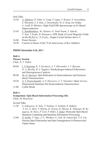#### Oral Talks

- 15:30 *A. Alfonsov, R. Zahn, G. Lang, F. Lipps, V. Kataev, S. Aswartham, S. Wurmehl, J. S. Kim, J. Deisenhofer, H.-A. Krug von Nidda, A. Loidl, B. Büchner*: High Field ESR Spectroscopy on Fe-Based **Superconductors**
- 15:45 *L. Salakhutdinov, Yu. Talanov, G. Teitel'baum, T. Adachi, T. Noji, Y. Koike, R. Khasanov*: EPR Study of Local Magnetic Fields on the  $Bi_2Sr_2Ca_{1-x}Y_rCu_2O_{8+v}$  Single Crystal Surface above  $T_c$
- 16:00 Poster Session
- 18:30 Concert in Honor of the 75-th Anniversary of Kev Salikhov

# **FRIDAY, November 4-th, 2011**

### **Hall A**

### **Plenary Session**

Chair: *N. V. Volkov*

- 09:00 *I. V. Koptyug, K. V. Kovtunov, V. V. Zhivonitko, I. V. Skovpin, D. A. Barskiy, R. Z. Sagdeev*: Parahydrogen-Induced Polarization and Heterogeneous Catalysis
- 09:40 *Yu. G. Kusraev*: Spin Relaxation in Semiconductors and Semiconductor Nanostructures
- 10:20 *A. V. Dvurechenskii, A. F. Zinovieva, A. V. Nenashev*: Spins in Low-Dimensional Quantum Dot Semiconductor Nanostructures
- 11:00 Coffee Break

# **Hall A**

# **Symposium: Spin-Based Information Processing (S6)**

Chair: *M. Brustolon*

Invited Talks

- 11:30 *S. Nakazawa, K. Sato, T. Yoshino, S. Nishida, R. Rahimi, T. Ise, N. Mori, Y. Morita, K. Toyota, D. Shiomi, K. Nakasuji, M. Kitagawa, H. Hara, P. Carl, P. Höfer, T. Takui*: Molecular-Spin Based Quantum Computing and Quantum Information Processing
- 12:00 *G. Kothe, T. Yago, J.-U. Weidner, G. Link, M. Lukaschek, T.-S. Lin*: Nuclear Spin Polarization and Spin Entanglement in Photoexcited Triplet States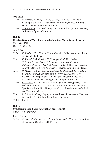#### Oral Talks

- 12:20 *G. Mazzeo, E. Prati, M. Belli, G. Leti, S. Cocco, M. Fanciulli, F. Guagliardo, G. Ferrari*: Charge and Spin Dynamics of a Single Donor Coupled to an SET in Silicon
- 12:40 *S. A. Moiseev, S. N. Andrianov, F. F. Gubaidullin*: Quantum Memory on Electron Spins in Resonator

#### **Hall B**

#### **Russian-German Workshop: Low-D Quantum Magnets and Frustrated Magnets I (W3)**

Chair: *R. Klingeler*

Oral Talks

- 11:30 *E. Vavilova*: Five Years of Kazan-Dresden Collaboration: Achievements and Challenges
- 11:45 *V. Bisogni, L. Braicovich, G. Ghiringhelli, M. Moretti Sala, N. B. Brookes, L. Simonelli, R. Kraus, C. Monnay, K. Zhou, T. Schmitt, J. van den Brink, B. Büchner, J. Geck*: Resonant Inelastic X-ray Scattering: a New Approach for Investigating Spin Excitations
- 12:15 *H. Mäeter, A. A. Zvyagin, H. Luetkens, G. Pascua, Z. Shermadini, R. Saint-Martin, A. Revcolevschi, C. Hess, B. Büchner, H.-H. Klauss*: Low Temperature Ballistic Spin Transport in the  $S = 1/2$ Antiferromagnetic Heisenberg Chain Compound SrCuO<sub>2</sub>
- 12:30 *E. Zvereva, O. Savelieva, V. Nalbandyan, M. Evstigneeva, L. Medvedeva, A. Wolter, J.-Y. Lin, A. Vasiliev, R. Klingeler, B. Büchner*: Spin Dynamics in New Honeycomb-Layered Antimonates of Alkali and Transition Metals
- 12:45 *R. F. Mamin*: Charge Segregation and Phase Separation in Manganites and the Possibility of Multiferroic Behavior
- $13:00$  Lunch

#### **Hall A**

#### **Symposium: Spin-based information processing (S6)**

Chair: *I. V. Ovchinnikov*

#### Invited Talks

14:30 *B. Aktaş, R. Topkaya, M. Erkovan, M. Özdemir*: Magnetic Properties of Exchange-Coupled Py/Cr/Py Films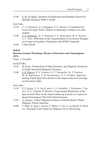15:00 *E. B. Fel'dman*: Quantum Entanglement and Quantum Discord in Multiple Quantum NMR in Solids

#### Oral Talks

- 15:20 *A. A. Soltamova, V. A. Soltamov, P. G. Baranov*: Competition between Two Spin Teams: Defects in Diamond vs Defects in Carborundum
- 15:40 *V. A. Nadolinny, Yu. N. Palyanov, I. N. Kupriyanov, M. E. Newton, S. L. Veber*: EPR Data on the Transformation of As-Grown Phosphorus Centers in Synthetic Diamonds at the HTHP Treatment
- 16:00 Coffee Break

### **Hall B**

# **Russian-German Workshop: Physics of Interfaces and Nanomagnets (W5)**

Chair: *I. Garifullin*

Invited Talks

- 14:30 *M. Farle*: Visualization of Spin Dynamics and Magnetic Hysteresis in Single Nanosized Magnetic Elements
- 15:00 *L. R. Tagirov, R. G. Deminov, O. V. Nedopekin, Ya. V. Fominov, M. Yu. Kupriyanov, T. Yu. Karminskaya, A. A. Golubov*: Superconducting Triplet Spin Valve Based on the Superconductor-Ferromagnet Proximity Effect

Oral Talks

- 15:30 *P. V. Leksin, N. N. Garif'yanov, I. A. Garifullin, J. Schumann, V. Kataev, O. G. Schmidt, B. Büchner*: Experimental Realization of the Spin Switch Effect for the Superconducting Current in a Superconductor/Ferromagnet Thin Film Heterostructure
- 15:45 *A. Useinov*: Tunnel Magnetoresistance in Double-Barrier Planar Magnetic Tunnel Junctions
- 16:00 *T. Mühl, S. Vock, J. Körner, F. Wolny, V. Neu, A. Leonhardt, B. Büchner*: Monopole-Like Probes for Magnetic Force Microscopy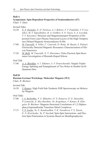#### **Symposium: Spin-Dependent Properties of Semiconductors (S7)**  Chair: *T. Takui*

Invited Talks

- 16:30 *E. S. Demidov, E. D. Pavlova, A. I. Bobrov, V. V. Podolskii, V. P. Lesnikov, M. V. Sapozhnikov, B. A. Gribkov, S. N. Gusev, S. A. Levchuk, V. V. Karzanov*: Structure and Magnetotransport Properties of Deposited From Laser Plasma Nanosized Layers of the High-Temperature Diluted Magnetic Semiconductor Si:Mn
- 17:00 *M. Fanciulli, A. Vellei, C. Canevali, D. Rotta, M. Basini, S. Paleari*: Electrically Detected Magnetic Resonance Characterization of Silicon Nanowires
- 17:20 *M. Belli, M. Fanciulli, N. V. Abrosimov*: Pulse Electron Spin Resonance Investigation of Bismuth-Doped Silicon

Oral Talk

17:40 *A. A. Bloshkin, A. I. Yakimov, A. V. Dvurechenskii*: Singlet-Triplet Energy Splitting and Entanglement of Two Holes in Double Ge/Si Quantum Dots

#### **Hall B**

#### **Russian-German Workshop: Molecular Magnets (W2)**

Chair: *B. Büchner*

Invited Talk

16:30 *V. Kataev*: High Field Sub-Terahertz ESR Spectroscopy on Molecular Magnets

Oral Talks

- 17:00 *I. A. Bezkishko, V. A. Miluykov, O. N. Kataeva, O. G. Sinyashin, P. Lonnecke, E. Hey-Hawkins, Yu. Krupskaya, V. Kataev, R. Klingeler, B. Büchner*: Magneto-Structural Correlations of 1,2-Diphosphacyclopentadienide Transition Metal Complexes
- 17:15 *V. S. Iyudin, Yu. E. Kandrashkin, V. K. Voronkova, V. S. Tyurin, E. N. Kirichenko, Yu. P. Yaschuk*: Spin-Spin Interactions and Electron Spin Polarization in Systems Based on Metalloporphyrins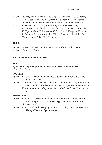- 17:30 *Yu. Krupskaya, F. Moro, V. Kataev, T. C. Stamatatos, G. Christou, A. J. Tasiopoulos, J. van Slageren, B. Büchner*: Classical versus Quantum Magnetism in Singe Molecular Magnetic Complexes
- 17:45 *R. Zaripov, E. Vavilova, Y. Krupskaya, A. Parameswaran, V. Miluykov, I. Bezkishko, D. Krivolapov, O. Kataeva, O. Sinyashin, E. Hey-Hawkins, V. Voronkova, K. Salikhov, R. Klingeler, V. Kataev, B. Büchner*: Relaxation Study of Novel Binuclear Mn Molecular Complexes by Pulse EPR Techniques

#### **Hall C**

- 16:30 Selection of Works within the Program of the Fund "U.M.N.I.K."
- 19:00 Conference Dinner

#### **SATURDAY, November 5-th, 2011**

#### **Hall A**

#### **Symposium: Spin-Dependent Processes in Nanostructures (S3)**

Chair: *P. A. Purtov*

Oral Talks

- 09:00 *B. Rameev*: Magnetic Resonance Studies of Spintronic and Nanomagnetic Materials
- 09:20 *A. Talantsev, A. Dmitriev, S. Zaitsev, O. Koplak, R. Morgunov*: Effect of the Orientation of Substrate on Δ-<Mn>-Layer Magnetization and Photoluminescence of Quantum Well in InGaAs/GaAs Heterostructures

Invited Talks

- 09:40 *L. Weiner*: Generation and Oxidation of Nitroxyl Radicals by Ruthenium Complexes: A Novel ESR Approach to the Study of Photoelectron Transfer
- 10:00 *A. K. Powell*: Spin Mapping of Iron-Containing Coordination Clusters Using Mössbauer Spectroscopy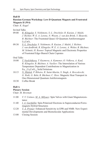#### **Hall B**

# **Russian-German Workshop: Low-D Quantum Magnets and Frustrated Magnets II (W4)**

Chair: *K. Kugel*

Invited Talks

- 09:00 *R. Klingeler, S. Nishimoto, S.-L. Drechsler, R. Kuzian, J. Malek, J. Richter, W. E. A. Lorenz, N. Wizent, J. van den Brink, Y. Skourski, B. Büchner*: The Frustrated Quasi-1D Quantum Antiferromagnet  $Li<sub>2</sub>CuO<sub>2</sub>$
- 09:30 *S.-L. Drechsler, S. Nishimoto, R. Kuzian, J. Malek, J. Richter, J. van denBrink, R. Klingeler, W. E. A. Lorenz, A. Wolter, B. Büchner, M. Schmitt, H. Rosner*:Topical Magnetic and Electronic Properties of Frustrated Edge-Shared Chain Cuprates

#### Oral Talks

- 10:00 *T. Vasilchikova, T. Kuzmova, A. Kamenev, O. Volkova, A. Kaul, R. Klingeler, B. Büchner, A. Vasiliev*: The Interrelation of Various Temperature Dependent Contributions to Magnetization in Eu1–*x*Ca*x*CoO3-δ Solid Solutions
- 10:15 *N. Hlubek, P. Ribeiro, R. Saint-Martin, S. Singh, A. Revcolevchi, G. Roth, G. Behr, B. Büchner, C. Hess*: Magnetic Heat Transport in One-Dimensional Quantum Antiferromagnets
- 10:30 Coffee Break

#### **Hall A**

#### **Plenary Session**

Chair: *M. Bowman*

- 11:00 *V. V. Ustinov, M. A. Milyaev*: Spin Valves with Giant Magnetoresistance
- 11:40 *I. A. Garifullin*: Spin-Polarized Electrons in Superconductor/Ferromagnets Hybrid Structures
- 12:20 *T. A. Prisner*: Enhanced Sensitivity in EPR and NMR: New Experimental Developments and Biomolecular Applications
- 13:00 Closing Session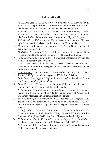#### **POSTER SESSION**

- 1. *M. M. Akhmetov, G. G. Gumarov, V. Yu. Petukhov, G. N. Konygin, D. S. Rybin, E. P. Zheglov*: Influence of Admixtures on the Formation of Paramagnetic Centers in Calcium Gluconate at Mechanoactivation
- 2. *A. Alfonsov, C. G. F. Blum, O. Volkonskyi, S. Rodan, D. Bombor, C. Hess, A. Wolter, S. Wurmehl, B. Büchner*: Optimization of Heusler Compounds via Control of the Relations between Structure and Physical Properties
- 3. *T. S. Altshuler, Y. V. Goryunov, A. V. Levchenko, A. N. Nateprov*: Electron Spin Resonance in Eu-Based Antiferromagnetic Compounds
- 4. *O. Antonova*: Influence of UV Irradiation on EPR and Optical Spectra of Tetraphenylborate Salts
- 5. *М. Bakirov, K. Salikhov, B. Bales*: EPR Investigation of Heisenberg Spin Exchange and Dipole Dipole Interactions in Diluted Free Radicals
- 6. *A. A. Bayazitov, K. S. Saikin, Ya. V. Fattakhov*: Transceiver System for NMR Tomography, Sensor "Joint"
- 7. *N. E. Domracheva, A. V. Pyataev, M. S. Gruzdev*: EMR Detection of Presumable Suhl's Instability in Magnetic  $\gamma$ -Fe<sub>2</sub>O<sub>3</sub> Nanoparticles Encapsulated into PPI Dendrimer
- 8. *R. M. Eremina, T. P. Gavrilova, D. V. Mamedov, I. V. Yatsyk, Ya. M. Mukovskii*: ESR Spectra in Monocrystal and Thin Film GdMnO
- 9. *M. L. Falin, V. A. Latypov*: Magnetic Resonance of the Rare-Earth Impurity Centers in CsCaF<sub>2</sub> Single Crystal
- 10. *M. L. Falin, K. I. Gerasimov, V. A. Latypov*: EPR and Optical Spectroscopy of the  $Tm^{2+}$  Ion in the  $KMgF_3$  Single Crystal
- 11. *B. Farrakhov, Ya. Fattakhov, M. Galyautdinov*: Dynamics of Recrystallization and Thermometry of a Implanted Semiconductor at Pulsed Light Irradiation Measured via Optical Diffraction Method
- 12. *Ya. V. Fattakhov, A. R. Fakhrutdinov, V. N. Anashkin, V. A. Shagalov, K. S. Saikin, M. K. Galyaltdinov, D. D. Gabidullin, N. M. Gafiyatullin, N. A. Krylatykh*: Low-Field Spectroscopic Studies of Magnetic Resonance Contrast Agents
- 13. *L. Gafiyatullin, L. Savostina, L. Mingalieva, Т. Ivanova, О. Turanova, G. Ivanova, А. Turanov, I. Ovchinnikov*: EPR, UV, and DFT Study of Spin-Crossover Complexes Fe(III) and Their Photoisomerizable Ligands
- 14. *N. M. Gafiyatullin, Ya. V. Fattakhov, N. A. Krylatykh, D. D. Gabidullin*: Gradient System Control Unit for MRI System "TMR-KFTI"
- 15. *R. T. Galeev*: EPR Line Shape of a System of Two Coupled Spins with Difference Rates of Transverse Relaxation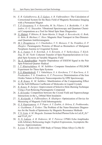- 16. *E. R. Galiakberova, R. T. Galeev, A. R. Fakhrutdinov*: The Calculation of Correctional System for the Basic Field of Magnetic Resonance Imaging with a Permanent Magnet
- 17. *T. P. Gryaznova, S. A. Katsyuba, M. Yu. Filatov, I. A. Bezkishko, V. A. Milyukov, O. G. Sinyashin*: Vibrational Spectroscopy and Quantum Chemical Computations as a Tool for Metal Spin State Diagnostics
- 18 *N. Hlubek, P. Ribeiro, R. Saint-Martin, S. Singh, A. Revcolevchi, G. Roth, G. Behr, B. Büchner, C. Hess*: Magnetic Heat Transport in One-Dimensional Quantum Antiferromagnets
- 19. *M. I. Ibragimova, A. I. Chushnikov, V. N. Moiseev, V. Yu. Petukhov, E. P. Zheglov*: Paramagnetic Proteins of Blood as Biomarkers of Malignant Neoplasm Anemia in Urogenital System
- 20. *K. L. Ivanov, S. E. Korchak, A. S. Kiryutin, A. V. Yurkovskaya, T. Köchling, H.-M. Vieth*: Coherent Transfer of Spin Hyperpolarization in Coupled Spin Systems at Variable Magnetic Field
- 21. *Yu. E. Kandrashkin*: Angular Dependence of ESEEM Signal in the Pair Spin Polarized Quartet–Radical
- 22. *I. T. Khairuzhdinov, K. M. Salikhov*: Computer Simulation of PELDOR Experiment for Three-Spin Systems
- 23. *S. S. Khutshishvili, T. I. Vakulskaya, S. A. Korzhova, T. V. Kon'kova, A. S. Pozdnyakov, T. G. Ermakova, G. F. Prozorova*: Determination of the Iron Oxides Nature in Polymeric Nanocomposites by EPR Spectroscopy
- 24. *A. B. Konov, K. M. Salikhov*: Manifestation of the Compensating Effect for the Self-Diffusion Coefficient of Molecules in Liquid Crystals
- 25. *K. Konov, R. Zaripov*: Improvement of Selective Hole-Burning Technique Using a Fast-Relaxing Paramagnetic Compound
- 26. *S. Krivenko*: Competition between the Crystal Field and Superexchange Interactions in the  $t_{2g}$  Orbital Mott Insulators
- 27. *N. Krylatykh, A. Fakhrutdinov, R. Khabipov*: Optimization of Device for Measuring of Magnetic Field Inhomogeneity
- 28. *G. S. Kupriyanova, A. P. Popov, A. Y. Zyubin, A. Orlova, E. Prokhorenko, A. Goykhman, P. Ershov*: The Problem of the Nano-Structures Diagnostics for the Needs of Spintronics by Magnetic Resonance Methods
- 29. *V. N. Lisin, A. M. Shegeda*: Zeeman-Switched Photon Echo in LuLiF<sub>4</sub>:Er<sup>3+</sup> and  $YLiF_4$ : $Er^{3+}$
- 30. *N. N. Lukzen, A. B. Doktorov, M. V. Petrova*: CPMG Echo Amplitudes with Arbitrary Refocusing Angle: Explicit Expressions, Asymptotic Behavior, Approximations
- 31. *S. Lvov, E. Kukovitsky*: ESR Study of Ternary Dilute Alloys Cu-Me-Er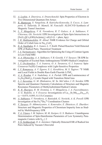- 32. *A. Lyubin, A. Zinovieva, A. Dvurechenckii*: Spin Properties of Electron in Two Dimensional Quantum Dot Arrays
- 33. *R. Mantovan, S. Vangelista, B. Kutrzeba-Kotowska, S. Cocco, A. Lamperti, G. Tallarida, D. Mameli, M. Fanciulli*: ALD/CVD Synthesis of Magnetic Tunnel Junctions
- 34. *L. V. Mingalieva, V. K. Voronkova, R. T. Galeev, A. A. Sukhanov, V. Chiornea, Gh. Novitchi*: EPR Investigation of Spin-Spin Interactions in  $[Fe(L)_{3}] [Cr_{2}(OH)(Ac)(nta)_{2}] \cdot nH_{2}O (L = phen, bpy)$
- 35. *I. R. Mukhamedshin, H. Alloul*: NMR Evidence for Charge and Orbital Order of Cobalt Ions in  $Na<sub>2/3</sub>CoO<sub>2</sub>$
- 36. *E. A. Nasibulov, K. L. Ivanov, L. V. Kulik*: Pulsed Reaction Yield Detected EPR of Radical Pairs. Theoretical Treatment
- 37. *I. A. Nurmamyatov*: Algorithm for Optimizing the Using of Contrast Agents in Low-Field MRI
- 38. *A. A. Obynochny, A. A. Sukhanov, V. R. Gorelik, V. F. Tarasov*: TR EPR Investigation of Excited State Anthraquinone/TEMPO Radical Complexes
- 39. *I. V. Ovchinnikov, T. A. Ivanova, O. A. Turanova, G. I. Ivanova*: Spin-Crossover Fe(III) Complexes with Light-Sensitive Properties
- 40. *I. V. Romanova, A. V. Egorov, S. L. Korableva, M. S. Tagirov*: 19F NMR and Local Fields in Double Rare-Earth Fluoride  $LiTbF<sub>4</sub>$
- 41. *A. A. Ryadun, V. A. Nadolinny, A. A. Pavluk*: EPR and Luminescence of  $Li<sub>2</sub>Zn<sub>2</sub>(MoO<sub>4</sub>)<sub>3</sub>$  Crystals Doped with Transition Metal Ions
- 42. *L. I. Savostina, G. M. Zhidomirov, M. Ya. Mel'nikov, I. D. Sorokin*: EPR Spectra and Quantum Chemistry Calculations of Structure and Magnetic Resonance Parameters of Methylsubstituted Radical Cations
- 43. *K. R. Sharipov, R. M. Eremina, L. V. Mingalieva, I. A. Fayzrahmanov, A. G. Badelin, A. V. Evseeva:* Investigations of  $La_{1-x}Sr_xMn_{0.925}Zn_{0.075}O_3$ (*x* = 0.075; 0.095; 0.115) Ceramics
- 44. *A. Sukhanov, V. Voronkova, A. Baniodeh, G. Novitchi, A. K. Powell*: EPR Investigation of the  $\text{Fe}_{2}^{\text{III}}\text{Dy}_{2}^{\text{III}}$  Coordination Clusters
- 45. *V. Tarasov, D. Akhmetzyanov, A. Konovalov, E. Zhiteitcev, E. Zharikov*: Structure and Magnetic Properties of Chromium Impurity Ions as Studied by Multifrequency EPR
- 46. *V. A. Ulanov, I. M. Safarov, M. M. Zaripov, G. S. Shakurov*: Unambiguous Determination of Spin-Hamiltonian Parameters of Low Symmetry Paramagnetic Centers with  $S_{\text{eff}} \geq 2$
- 47. *V. N. Verkhovlyuk, O. A. Anisimov*: Optically Detected ESR of Radical Ion Pairs Induced by Vacuum Ultraviolet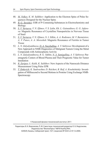- 48. *M. Volkov, K. M. Salikhov*: Application to the Electron Spins of Pulse Sequences Designed for the Nuclear Spins
- 49. *B. G. Yavishev*: ESR of P-Containing Substances in Electrochemistry and Biology
- 50. *S. V. Yurtaeva, V. N. Efimov, V. S. Iydin, Kh. L. Gainutdinov, G. G. Jafarova*: Magnetic Resonance of Crystalline Nanoparticles in Nervous Tissue of Snail
- 51. *S. V. Yurtaeva, V. N. Efimov, N. I. Silkin, A. A. Rodionov, M. V. Burmistrov, A. V. Panov, A. A. Moroshek*: Magnetic Resonance of Ferritin in Tumor Tissue
- 52. *L. N. Zalyalyutdinova, D. A. Nasybullina, A. Y. Sabirova*: Development of a New Approach to NMR Diagnostics of Malignant Tumors Using the Metal Compounds with Antineoplastic Activity
- 53. *L. N. Zalyalyutdinova, R. G. Yakhin, N. A. Samigullina, A. Y. Sabirova*: Paramagnetic Centers of Blood Plasma and Their Prognostic Value for Tumor Innidiation
- 54. *R. Zaripov, L. Kulik, K. Salikhov*: New Aspects of the Nanoscale Distance Measurement Using Pulse EPR
- 55. *T. Zinkevich, K. Saalwachter, D. Reichert, B. Reif, A. Krushelnitsky*: Investigation of Millisecond to Second Motions in Proteins Using Exchange NMR-**Spectroscopy**

© Казанский физико-технический институт, 2011

Редакторы: В. К. Воронкова, Л. М. Савостина; технический редактор О. Б. Яндуганова. Издательство "ФизтехПресс" КФТИ КазНЦ РАН, 420029, Казань, Сибирский тракт, 10/7, лицензия № 0325 от 07.12.2000.